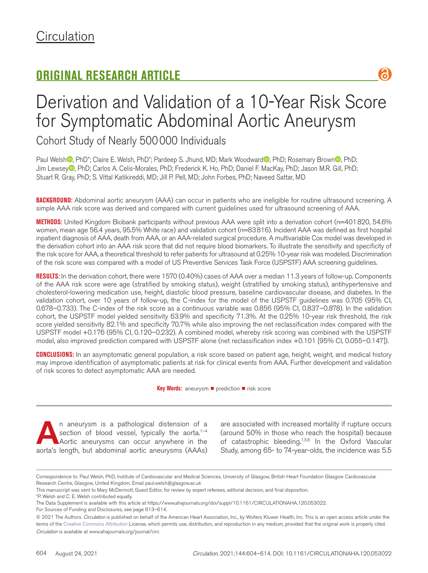# **ORIGINAL RESEARCH ARTICLE**



Cohort Study of Nearly 500000 Individuals

Paul Welsh **D**, PhD<sup>\*</sup>; Claire E. Welsh, PhD<sup>\*</sup>; Pardeep S. Jhund, MD; Mark Woodward **D**, PhD; Rosemary Brown **D**, PhD; Jim Lewsey<sup>®</sup>, PhD; Carlos A. Celis-Morales, PhD; Frederick K. Ho, PhD; Daniel F. MacKay, PhD; Jason M.R. Gill, PhD; Stuart R. Gray, PhD; S. Vittal Katikireddi, MD; Jill P. Pell, MD; John Forbes, PhD; Naveed Sattar, MD

**BACKGROUND:** Abdominal aortic aneurysm (AAA) can occur in patients who are ineligible for routine ultrasound screening. A simple AAA risk score was derived and compared with current guidelines used for ultrasound screening of AAA.

**METHODS:** United Kingdom Biobank participants without previous AAA were split into a derivation cohort (n=401820, 54.6% women, mean age 56.4 years, 95.5% White race) and validation cohort (n=83816). Incident AAA was defined as first hospital inpatient diagnosis of AAA, death from AAA, or an AAA-related surgical procedure. A multivariable Cox model was developed in the derivation cohort into an AAA risk score that did not require blood biomarkers. To illustrate the sensitivity and specificity of the risk score for AAA, a theoretical threshold to refer patients for ultrasound at 0.25% 10-year risk was modeled. Discrimination of the risk score was compared with a model of US Preventive Services Task Force (USPSTF) AAA screening guidelines.

**RESULTS:** In the derivation cohort, there were 1570 (0.40%) cases of AAA over a median 11.3 years of follow-up. Components of the AAA risk score were age (stratified by smoking status), weight (stratified by smoking status), antihypertensive and cholesterol-lowering medication use, height, diastolic blood pressure, baseline cardiovascular disease, and diabetes. In the validation cohort, over 10 years of follow-up, the C-index for the model of the USPSTF guidelines was 0.705 (95% CI, 0.678–0.733). The C-index of the risk score as a continuous variable was 0.856 (95% CI, 0.837–0.878). In the validation cohort, the USPSTF model yielded sensitivity 63.9% and specificity 71.3%. At the 0.25% 10-year risk threshold, the risk score yielded sensitivity 82.1% and specificity 70.7% while also improving the net reclassification index compared with the USPSTF model +0.176 (95% CI, 0.120–0.232). A combined model, whereby risk scoring was combined with the USPSTF model, also improved prediction compared with USPSTF alone (net reclassification index +0.101 [95% CI, 0.055-0.147]).

**CONCLUSIONS:** In an asymptomatic general population, a risk score based on patient age, height, weight, and medical history may improve identification of asymptomatic patients at risk for clinical events from AAA. Further development and validation of risk scores to detect asymptomatic AAA are needed.

**Key Words:** aneurysm ■ prediction ■ risk score

**A**n aneurysm is a pathological distension of a section of blood vessel, typically the aorta.<sup>1-4</sup><br>Aortic aneurysms can occur anywhere in the section of blood vessel, typically the aorta.<sup>1-4</sup> Aortic aneurysms can occur anywhere in the aorta's length, but abdominal aortic aneurysms (AAAs)

are associated with increased mortality if rupture occurs (around 50% in those who reach the hospital) because of catastrophic bleeding.<sup>1,5,6</sup> In the Oxford Vascular Study, among 65- to 74-year-olds, the incidence was 5.5

R

For Sources of Funding and Disclosures, see page 613–614.

Correspondence to: Paul Welsh, PhD, Institute of Cardiovascular and Medical Sciences, University of Glasgow, British Heart Foundation Glasgow Cardiovascular Research Centre, Glasgow, United Kingdom. Email [paul.welsh@glasgow.ac.uk](mailto:paul.welsh@glasgow.ac.uk)

This manuscript was sent to Mary McDermott, Guest Editor, for review by expert referees, editorial decision, and final disposition.

<sup>\*</sup>P. Welsh and C. E. Welsh contributed equally.

The Data Supplement is available with this article at https://www.ahajournals.org/doi/suppl/10.1161/CIRCULATIONAHA.120.053022.

*Circulation* is available at www.ahajournals.org/journal/circ © 2021 The Authors. *Circulation* is published on behalf of the American Heart Association, Inc., by Wolters Kluwer Health, Inc. This is an open access article under the terms of the Creative Commons Attribution License, which permits use, distribution, and reproduction in any medium, provided that the original work is properly cited.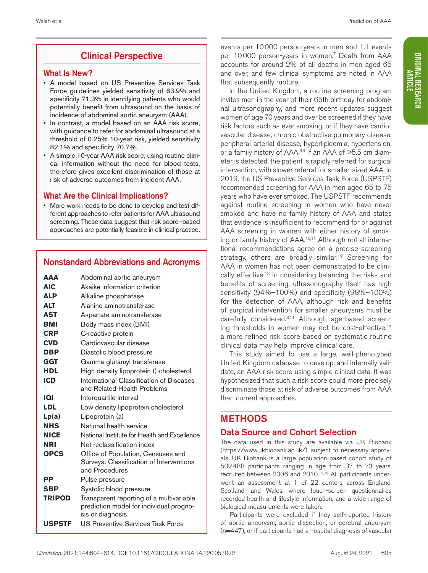# Clinical Perspective

### What Is New?

- A model based on US Preventive Services Task Force guidelines yielded sensitivity of 63.9% and specificity 71.3% in identifying patients who would potentially benefit from ultrasound on the basis of incidence of abdominal aortic aneurysm (AAA).
- In contrast, a model based on an AAA risk score, with guidance to refer for abdominal ultrasound at a threshold of 0.25% 10-year risk, yielded sensitivity 82.1% and specificity 70.7%.
- A simple 10-year AAA risk score, using routine clinical information without the need for blood tests, therefore gives excellent discrimination of those at risk of adverse outcomes from incident AAA.

# What Are the Clinical Implications?

• More work needs to be done to develop and test different approaches to refer patients for AAA ultrasound screening. These data suggest that risk score–based approaches are potentially feasible in clinical practice.

# Nonstandard Abbreviations and Acronyms

| ΔΑΔ           | Abdominal aortic aneurysm                                                                               |
|---------------|---------------------------------------------------------------------------------------------------------|
| <b>AIC</b>    | Akaike information criterion                                                                            |
| <b>ALP</b>    | Alkaline phosphatase                                                                                    |
| ALT           | Alanine aminotransferase                                                                                |
| <b>AST</b>    | Aspartate aminotransferase                                                                              |
| <b>BMI</b>    | Body mass index (BMI)                                                                                   |
| <b>CRP</b>    | C-reactive protein                                                                                      |
| <b>CVD</b>    | Cardiovascular disease                                                                                  |
| DBP           | Diastolic blood pressure                                                                                |
| GGT           | Gamma-glutamyl transferase                                                                              |
| HDL           | High density lipoprotein ()-cholesterol                                                                 |
| ICD           | International Classification of Diseases<br>and Related Health Problems                                 |
| וסו           | Interquartile interval                                                                                  |
| LDL           | Low density lipoprotein cholesterol                                                                     |
| Lp(a)         | Lipoprotein (a)                                                                                         |
| <b>NHS</b>    | National health service                                                                                 |
| <b>NICE</b>   | National Institute for Health and Excellence                                                            |
| NRI           | Net reclassification index                                                                              |
| <b>OPCS</b>   | Office of Population, Censuses and<br>Surveys: Classification of Interventions<br>and Procedures        |
| РP            | Pulse pressure                                                                                          |
| <b>SBP</b>    | Systolic blood pressure                                                                                 |
| <b>TRIPOD</b> | Transparent reporting of a multivariable<br>prediction model for individual progno-<br>sis or diagnosis |
| <b>USPSTF</b> | US Preventive Services Task Force                                                                       |

events per 10000 person-years in men and 1.1 events per 10000 person-years in women.<sup>7</sup> Death from AAA accounts for around 2% of all deaths in men aged 65 and over, and few clinical symptoms are noted in AAA that subsequently rupture.

In the United Kingdom, a routine screening program invites men in the year of their 65th birthday for abdominal ultrasonography, and more recent updates suggest women of age 70 years and over be screened if they have risk factors such as ever smoking, or if they have cardiovascular disease, chronic obstructive pulmonary disease, peripheral arterial disease, hyperlipidemia, hypertension, or a family history of AAA.<sup>8,9</sup> If an AAA of >5.5 cm diameter is detected, the patient is rapidly referred for surgical intervention, with slower referral for smaller-sized AAA. In 2019, the US Preventive Services Task Force (USPSTF) recommended screening for AAA in men aged 65 to 75 years who have ever smoked. The USPSTF recommends against routine screening in women who have never smoked and have no family history of AAA and states that evidence is insufficient to recommend for or against AAA screening in women with either history of smoking or family history of AAA.10,11 Although not all international recommendations agree on a precise screening strategy, others are broadly similar.<sup>12</sup> Screening for AAA in women has not been demonstrated to be clinically effective.<sup>13</sup> In considering balancing the risks and benefits of screening, ultrasonography itself has high sensitivity (94%–100%) and specificity (98%–100%) for the detection of AAA, although risk and benefits of surgical intervention for smaller aneurysms must be carefully considered.8,11 Although age-based screening thresholds in women may not be cost-effective,<sup>14</sup> a more refined risk score based on systematic routine clinical data may help improve clinical care.

This study aimed to use a large, well-phenotyped United Kingdom database to develop, and internally validate, an AAA risk score using simple clinical data. It was hypothesized that such a risk score could more precisely discriminate those at risk of adverse outcomes from AAA than current approaches.

# METHODS

# Data Source and Cohort Selection

The data used in this study are available via UK Biobank (https://www.ukbiobank.ac.uk/), subject to necessary approvals. UK Biobank is a large population-based cohort study of 502488 participants ranging in age from 37 to 73 years, recruited between 2006 and 2010.15,16 All participants underwent an assessment at 1 of 22 centers across England, Scotland, and Wales, where touch-screen questionnaires recorded health and lifestyle information, and a wide range of biological measurements were taken.

Participants were excluded if they self-reported history of aortic aneurysm, aortic dissection, or cerebral aneurysm (n=447), or if participants had a hospital diagnosis of vascular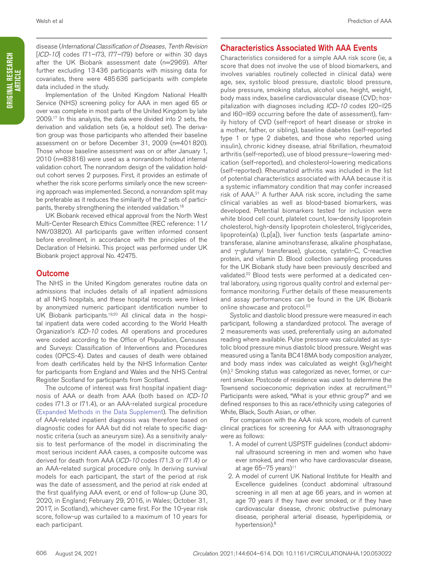Implementation of the United Kingdom National Health Service (NHS) screening policy for AAA in men aged 65 or over was complete in most parts of the United Kingdom by late 2009.17 In this analysis, the data were divided into 2 sets, the derivation and validation sets (ie, a holdout set). The derivation group was those participants who attended their baseline assessment on or before December 31, 2009 (n=401820). Those whose baseline assessment was on or after January 1, 2010 (n=83816) were used as a nonrandom holdout internal validation cohort. The nonrandom design of the validation holdout cohort serves 2 purposes. First, it provides an estimate of whether the risk score performs similarly once the new screening approach was implemented. Second, a nonrandom split may be preferable as it reduces the similarity of the 2 sets of participants, thereby strengthening the intended validation.18

UK Biobank received ethical approval from the North West Multi-Center Research Ethics Committee (REC reference: 11/ NW/03820). All participants gave written informed consent before enrollment, in accordance with the principles of the Declaration of Helsinki. This project was performed under UK Biobank project approval No. 42475.

### Outcome

The NHS in the United Kingdom generates routine data on admissions that includes details of all inpatient admissions at all NHS hospitals, and these hospital records were linked by anonymized numeric participant identification number to UK Biobank participants.19,20 All clinical data in the hospital inpatient data were coded according to the World Health Organization's *ICD-10* codes. All operations and procedures were coded according to the Office of Population, Censuses and Surveys: Classification of Interventions and Procedures codes (OPCS-4). Dates and causes of death were obtained from death certificates held by the NHS Information Center for participants from England and Wales and the NHS Central Register Scotland for participants from Scotland.

The outcome of interest was first hospital inpatient diagnosis of AAA or death from AAA (both based on *ICD-10* codes I71.3 or I71.4), or an AAA-related surgical procedure (Expanded Methods in the Data Supplement). The definition of AAA-related inpatient diagnosis was therefore based on diagnostic codes for AAA but did not relate to specific diagnostic criteria (such as aneurysm size). As a sensitivity analysis to test performance of the model in discriminating the most serious incident AAA cases, a composite outcome was derived for death from AAA (*ICD-10* codes I71.3 or I71.4) or an AAA-related surgical procedure only. In deriving survival models for each participant, the start of the period at risk was the date of assessment, and the period at risk ended at the first qualifying AAA event, or end of follow-up (June 30, 2020, in England; February 29, 2016, in Wales; October 31, 2017, in Scotland), whichever came first. For the 10-year risk score, follow-up was curtailed to a maximum of 10 years for each participant.

### Characteristics Associated With AAA Events

Characteristics considered for a simple AAA risk score (ie, a score that does not involve the use of blood biomarkers, and involves variables routinely collected in clinical data) were age, sex, systolic blood pressure, diastolic blood pressure, pulse pressure, smoking status, alcohol use, height, weight, body mass index, baseline cardiovascular disease (CVD; hospitalization with diagnoses including *ICD-10* codes I20–I25 and I60–I69 occurring before the date of assessment), family history of CVD (self-report of heart disease or stroke in a mother, father, or sibling), baseline diabetes (self-reported type 1 or type 2 diabetes, and those who reported using insulin), chronic kidney disease, atrial fibrillation, rheumatoid arthritis (self-reported), use of blood pressure–lowering medication (self-reported), and cholesterol-lowering medications (self-reported). Rheumatoid arthritis was included in the list of potential characteristics associated with AAA because it is a systemic inflammatory condition that may confer increased risk of AAA.21 A further AAA risk score, including the same clinical variables as well as blood-based biomarkers, was developed. Potential biomarkers tested for inclusion were white blood cell count, platelet count, low-density lipoprotein cholesterol, high-density lipoprotein cholesterol, triglycerides, lipoprotein(a) (Lp[a]), liver function tests (aspartate aminotransferase, alanine aminotransferase, alkaline phosphatase, and γ-glutamyl transferase), glucose, cystatin-C, C-reactive protein, and vitamin D. Blood collection sampling procedures for the UK Biobank study have been previously described and validated.<sup>22</sup> Blood tests were performed at a dedicated central laboratory, using rigorous quality control and external performance monitoring. Further details of these measurements and assay performances can be found in the UK Biobank online showcase and protocol.<sup>22</sup>

Systolic and diastolic blood pressure were measured in each participant, following a standardized protocol. The average of 2 measurements was used, preferentially using an automated reading where available. Pulse pressure was calculated as systolic blood pressure minus diastolic blood pressure. Weight was measured using a Tanita BC418MA body composition analyzer, and body mass index was calculated as weight (kg)/height (m).2 Smoking status was categorized as never, former, or current smoker. Postcode of residence was used to determine the Townsend socioeconomic deprivation index at recruitment.<sup>23</sup> Participants were asked, "What is your ethnic group?" and we defined responses to this as race/ethnicity using categories of White, Black, South Asian, or other.

For comparison with the AAA risk score, models of current clinical practices for screening for AAA with ultrasonography were as follows:

- 1. A model of current USPSTF guidelines (conduct abdominal ultrasound screening in men and women who have ever smoked, and men who have cardiovascular disease, at age  $65-75$  years)<sup>11</sup>
- 2. A model of current UK National Institute for Health and Excellence guidelines (conduct abdominal ultrasound screening in all men at age 66 years, and in women at age 70 years if they have ever smoked, or if they have cardiovascular disease, chronic obstructive pulmonary disease, peripheral arterial disease, hyperlipidemia, or hypertension).8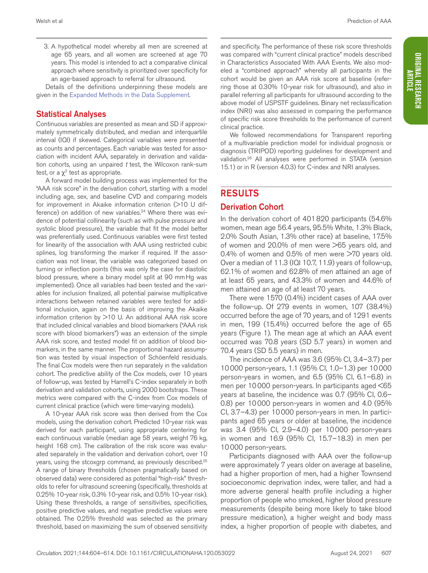3. A hypothetical model whereby all men are screened at age 65 years, and all women are screened at age 70 years. This model is intended to act a comparative clinical approach where sensitivity is prioritized over specificity for an age-based approach to referral for ultrasound.

Details of the definitions underpinning these models are given in the Expanded Methods in the Data Supplement.

### Statistical Analyses

Continuous variables are presented as mean and SD if approximately symmetrically distributed, and median and interquartile interval (IQI) if skewed. Categorical variables were presented as counts and percentages. Each variable was tested for association with incident AAA, separately in derivation and validation cohorts, using an unpaired *t* test, the Wilcoxon rank-sum test, or a  $\chi^2$  test as appropriate.

A forward model building process was implemented for the "AAA risk score" in the derivation cohort, starting with a model including age, sex, and baseline CVD and comparing models for improvement in Akaike information criterion (>10 U difference) on addition of new variables.<sup>24</sup> Where there was evidence of potential collinearity (such as with pulse pressure and systolic blood pressure), the variable that fit the model better was preferentially used. Continuous variables were first tested for linearity of the association with AAA using restricted cubic splines, log transforming the marker if required. If the association was not linear, the variable was categorized based on turning or inflection points (this was only the case for diastolic blood pressure, where a binary model split at 90 mmHg was implemented). Once all variables had been tested and the variables for inclusion finalized, all potential pairwise multiplicative interactions between retained variables were tested for additional inclusion, again on the basis of improving the Akaike information criterion by >10 U. An additional AAA risk score that included clinical variables and blood biomarkers ("AAA risk score with blood biomarkers") was an extension of the simple AAA risk score, and tested model fit on addition of blood biomarkers, in the same manner. The proportional hazard assumption was tested by visual inspection of Schöenfeld residuals. The final Cox models were then run separately in the validation cohort. The predictive ability of the Cox models, over 10 years of follow-up, was tested by Harrell's C-index separately in both derivation and validation cohorts, using 2000 bootstraps. These metrics were compared with the C-index from Cox models of current clinical practice (which were time-varying models).

A 10-year AAA risk score was then derived from the Cox models, using the derivation cohort. Predicted 10-year risk was derived for each participant, using appropriate centering for each continuous variable (median age 58 years, weight 76 kg, height 168 cm). The calibration of the risk score was evaluated separately in the validation and derivation cohort, over 10 years, using the stcoxgrp command, as previously described.<sup>25</sup> A range of binary thresholds (chosen pragmatically based on observed data) were considered as potential "high-risk" thresholds to refer for ultrasound screening (specifically, thresholds at 0.25% 10-year risk, 0.3% 10-year risk, and 0.5% 10-year risk). Using these thresholds, a range of sensitivities, specificities, positive predictive values, and negative predictive values were obtained. The 0.25% threshold was selected as the primary threshold, based on maximizing the sum of observed sensitivity

and specificity. The performance of these risk score thresholds was compared with "current clinical practice" models described in Characteristics Associated With AAA Events. We also modeled a "combined approach" whereby all participants in the cohort would be given an AAA risk score at baseline (referring those at 0.30% 10-year risk for ultrasound), and also in parallel referring all participants for ultrasound according to the above model of USPSTF guidelines. Binary net reclassification index (NRI) was also assessed in comparing the performance of specific risk score thresholds to the performance of current clinical practice.

We followed recommendations for Transparent reporting of a multivariable prediction model for individual prognosis or diagnosis (TRIPOD) reporting guidelines for development and validation.26 All analyses were performed in STATA (version 15.1) or in R (version 4.0.3) for C-index and NRI analyses.

# RESULTS

### Derivation Cohort

In the derivation cohort of 401820 participants (54.6% women, mean age 56.4 years, 95.5% White, 1.3% Black, 2.0% South Asian, 1.3% other race) at baseline, 17.5% of women and 20.0% of men were >65 years old, and 0.4% of women and 0.5% of men were  $>70$  years old. Over a median of 11.3 (IQI 10.7, 11.9) years of follow-up, 62.1% of women and 62.8% of men attained an age of at least 65 years, and 43.3% of women and 44.6% of men attained an age of at least 70 years.

There were 1570 (0.4%) incident cases of AAA over the follow-up. Of 279 events in women, 107 (38.4%) occurred before the age of 70 years, and of 1291 events in men, 199 (15.4%) occurred before the age of 65 years (Figure 1). The mean age at which an AAA event occurred was 70.8 years (SD 5.7 years) in women and 70.4 years (SD 5.5 years) in men.

The incidence of AAA was 3.6 (95% CI, 3.4–3.7) per 10000 person-years, 1.1 (95% CI, 1.0–1.3) per 10000 person-years in women, and 6.5 (95% CI, 6.1–6.8) in men per 10000 person-years. In participants aged <65 years at baseline, the incidence was 0.7 (95% CI, 0.6– 0.8) per 10000 person-years in women and 4.0 (95% CI, 3.7–4.3) per 10000 person-years in men. In participants aged 65 years or older at baseline, the incidence was 3.4 (95% CI, 2.9–4.0) per 10000 person-years in women and 16.9 (95% CI, 15.7–18.3) in men per 10000 person-years.

Participants diagnosed with AAA over the follow-up were approximately 7 years older on average at baseline, had a higher proportion of men, had a higher Townsend socioeconomic deprivation index, were taller, and had a more adverse general health profile including a higher proportion of people who smoked, higher blood pressure measurements (despite being more likely to take blood pressure medication), a higher weight and body mass index, a higher proportion of people with diabetes, and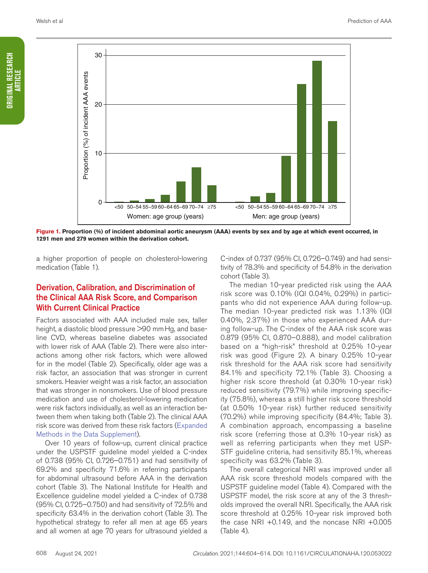

**Figure 1. Proportion (%) of incident abdominal aortic aneurysm (AAA) events by sex and by age at which event occurred, in 1291 men and 279 women within the derivation cohort.**

a higher proportion of people on cholesterol-lowering medication (Table 1).

### Derivation, Calibration, and Discrimination of the Clinical AAA Risk Score, and Comparison With Current Clinical Practice

Factors associated with AAA included male sex, taller height, a diastolic blood pressure >90 mm Hg, and baseline CVD, whereas baseline diabetes was associated with lower risk of AAA (Table 2). There were also interactions among other risk factors, which were allowed for in the model (Table 2). Specifically, older age was a risk factor, an association that was stronger in current smokers. Heavier weight was a risk factor, an association that was stronger in nonsmokers. Use of blood pressure medication and use of cholesterol-lowering medication were risk factors individually, as well as an interaction between them when taking both (Table 2). The clinical AAA risk score was derived from these risk factors (Expanded Methods in the Data Supplement).

Over 10 years of follow-up, current clinical practice under the USPSTF guideline model yielded a C-index of 0.738 (95% CI, 0.726–0.751) and had sensitivity of 69.2% and specificity 71.6% in referring participants for abdominal ultrasound before AAA in the derivation cohort (Table 3). The National Institute for Health and Excellence guideline model yielded a C-index of 0.738 (95% CI, 0.725–0.750) and had sensitivity of 72.5% and specificity 63.4% in the derivation cohort (Table 3). The hypothetical strategy to refer all men at age 65 years and all women at age 70 years for ultrasound yielded a

C-index of 0.737 (95% CI, 0.726–0.749) and had sensitivity of 78.3% and specificity of 54.8% in the derivation cohort (Table 3).

The median 10-year predicted risk using the AAA risk score was 0.10% (IQI 0.04%, 0.29%) in participants who did not experience AAA during follow-up. The median 10-year predicted risk was 1.13% (IQI 0.40%, 2.37%) in those who experienced AAA during follow-up. The C-index of the AAA risk score was 0.879 (95% CI, 0.870–0.888), and model calibration based on a "high-risk" threshold at 0.25% 10-year risk was good (Figure 2). A binary 0.25% 10-year risk threshold for the AAA risk score had sensitivity 84.1% and specificity 72.1% (Table 3). Choosing a higher risk score threshold (at 0.30% 10-year risk) reduced sensitivity (79.7%) while improving specificity (75.8%), whereas a still higher risk score threshold (at 0.50% 10-year risk) further reduced sensitivity (70.2%) while improving specificity (84.4%; Table 3). A combination approach, encompassing a baseline risk score (referring those at 0.3% 10-year risk) as well as referring participants when they met USP-STF guideline criteria, had sensitivity 85.1%, whereas specificity was 63.2% (Table 3).

The overall categorical NRI was improved under all AAA risk score threshold models compared with the USPSTF guideline model (Table 4). Compared with the USPSTF model, the risk score at any of the 3 thresholds improved the overall NRI. Specifically, the AAA risk score threshold at 0.25% 10-year risk improved both the case NRI +0.149, and the noncase NRI +0.005 (Table 4).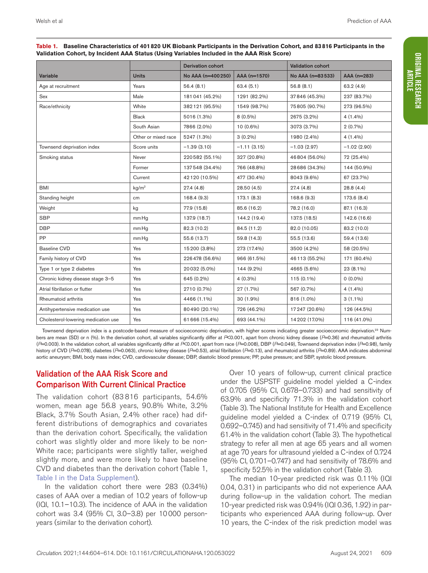|                                     | <b>Derivation cohort</b> |                    | <b>Validation cohort</b> |                  |               |  |
|-------------------------------------|--------------------------|--------------------|--------------------------|------------------|---------------|--|
| Variable                            | <b>Units</b>             | No AAA (n=400 250) | AAA (n=1570)             | No AAA (n=83533) | AAA (n=283)   |  |
| Age at recruitment                  | Years                    | 56.4(8.1)          | 63.4(5.1)                | 56.8(8.1)        | 63.2(4.9)     |  |
| Sex                                 | Male                     | 181041 (45.2%)     | 1291 (82.2%)             | 37846 (45.3%)    | 237 (83.7%)   |  |
| Race/ethnicity                      | White                    | 382121 (95.5%)     | 1549 (98.7%)             | 75805 (90.7%)    | 273 (96.5%)   |  |
|                                     | <b>Black</b>             | 5016 (1.3%)        | $8(0.5\%)$               | 2675 (3.2%)      | $4(1.4\%)$    |  |
|                                     | South Asian              | 7866 (2.0%)        | 10 (0.6%)                | 3073 (3.7%)      | $2(0.7\%)$    |  |
|                                     | Other or mixed race      | 5247 (1.3%)        | $3(0.2\%)$               | 1980 (2.4%)      | $4(1.4\%)$    |  |
| Townsend deprivation index          | Score units              | $-1.39(3.10)$      | $-1.11(3.15)$            | $-1.03(2.97)$    | $-1.02(2.90)$ |  |
| Smoking status                      | Never                    | 220582 (55.1%)     | 327 (20.8%)              | 46804 (56.0%)    | 72 (25.4%)    |  |
|                                     | Former                   | 137548 (34.4%)     | 766 (48.8%)              | 28 686 (34.3%)   | 144 (50.9%)   |  |
|                                     | Current                  | 42120 (10.5%)      | 477 (30.4%)              | 8043 (9.6%)      | 67 (23.7%)    |  |
| <b>BMI</b>                          | kq/m <sup>2</sup>        | 27.4(4.8)          | 28.50(4.5)               | 27.4(4.8)        | 28.8(4.4)     |  |
| Standing height                     | cm                       | 168.4 (9.3)        | 173.1 (8.3)              | 168.6 (9.3)      | 173.6 (8.4)   |  |
| Weight                              | kg                       | 77.9 (15.8)        | 85.6 (16.2)              | 78.2 (16.0)      | 87.1 (16.3)   |  |
| <b>SBP</b>                          | mm Hg                    | 137.9 (18.7)       | 144.2 (19.4)             | 137.5 (18.5)     | 142.6 (16.6)  |  |
| <b>DBP</b>                          | mm Hq                    | 82.3 (10.2)        | 84.5 (11.2)              | 82.0 (10.05)     | 83.2 (10.0)   |  |
| <b>PP</b>                           | mm Hq                    | 55.6 (13.7)        | 59.8 (14.3)              | 55.5 (13.6)      | 59.4 (13.6)   |  |
| <b>Baseline CVD</b>                 | Yes                      | 15200 (3.8%)       | 273 (17.4%)              | 3500 (4.2%)      | 58 (20.5%)    |  |
| Family history of CVD               | Yes                      | 226478 (56.6%)     | 966 (61.5%)              | 46113 (55.2%)    | 171 (60.4%)   |  |
| Type 1 or type 2 diabetes           | Yes                      | 20032 (5.0%)       | 144 (9.2%)               | 4665 (5.6%)      | 23 (8.1%)     |  |
| Chronic kidney disease stage 3-5    | Yes                      | 645 (0.2%)         | $4(0.3\%)$               | 115 (0.1%)       | $0(0.0\%)$    |  |
| Atrial fibrillation or flutter      | Yes                      | 2710 (0.7%)        | 27 (1.7%)                | 567 (0.7%)       | $4(1.4\%)$    |  |
| Rheumatoid arthritis                | Yes                      | 4466 (1.1%)        | 30 (1.9%)                | 816 (1.0%)       | $3(1.1\%)$    |  |
| Antihypertensive medication use     | Yes                      | 80490 (20.1%)      | 726 (46.2%)              | 17 247 (20.6%)   | 126 (44.5%)   |  |
| Cholesterol-lowering medication use | Yes                      | 61 666 (15.4%)     | 693 (44.1%)              | 14 202 (17.0%)   | 116 (41.0%)   |  |

**Table 1. Baseline Characteristics of 401820 UK Biobank Participants in the Derivation Cohort, and 83816 Participants in the Validation Cohort, by Incident AAA Status (Using Variables Included in the AAA Risk Score)**

Townsend deprivation index is a postcode-based measure of socioeconomic deprivation, with higher scores indicating greater socioeconomic deprivation.<sup>23</sup> Numbers are mean (SD) or n (%). In the derivation cohort, all variables significantly differ at *P*<0.001, apart from chronic kidney disease (*P*=0.36) and rheumatoid arthritis (*P*=0.003). In the validation cohort, all variables significantly differ at *P*<0.001, apart from race (*P*=0.008), DBP (*P*=0.049), Townsend deprivation index (*P*=0.98), family history of CVD (*P*=0.078), diabetes (*P*=0.063), chronic kidney disease (*P*=0.53), atrial fibrillation (*P*=0.13), and rheumatoid arthritis (*P*=0.89). AAA indicates abdominal aortic aneurysm; BMI, body mass index; CVD, cardiovascular disease; DBP, diastolic blood pressure; PP, pulse pressure; and SBP, systolic blood pressure.

# Validation of the AAA Risk Score and Comparison With Current Clinical Practice

The validation cohort (83 816 participants, 54.6% women, mean age 56.8 years, 90.8% White, 3.2% Black, 3.7% South Asian, 2.4% other race) had different distributions of demographics and covariates than the derivation cohort. Specifically, the validation cohort was slightly older and more likely to be non-White race; participants were slightly taller, weighed slightly more, and were more likely to have baseline CVD and diabetes than the derivation cohort (Table 1, Table I in the Data Supplement).

In the validation cohort there were 283 (0.34%) cases of AAA over a median of 10.2 years of follow-up (IQI, 10.1–10.3). The incidence of AAA in the validation cohort was 3.4 (95% CI, 3.0–3.8) per 10000 personyears (similar to the derivation cohort).

Over 10 years of follow-up, current clinical practice under the USPSTF guideline model yielded a C-index of 0.705 (95% CI, 0.678–0.733) and had sensitivity of 63.9% and specificity 71.3% in the validation cohort (Table 3). The National Institute for Health and Excellence guideline model yielded a C-index of 0.719 (95% CI, 0.692–0.745) and had sensitivity of 71.4% and specificity 61.4% in the validation cohort (Table 3). The hypothetical strategy to refer all men at age 65 years and all women at age 70 years for ultrasound yielded a C-index of 0.724 (95% CI, 0.701–0.747) and had sensitivity of 78.6% and specificity 52.5% in the validation cohort (Table 3).

The median 10-year predicted risk was 0.11% (IQI 0.04, 0.31) in participants who did not experience AAA during follow-up in the validation cohort. The median 10-year predicted risk was 0.94% (IQI 0.36, 1.92) in participants who experienced AAA during follow-up. Over 10 years, the C-index of the risk prediction model was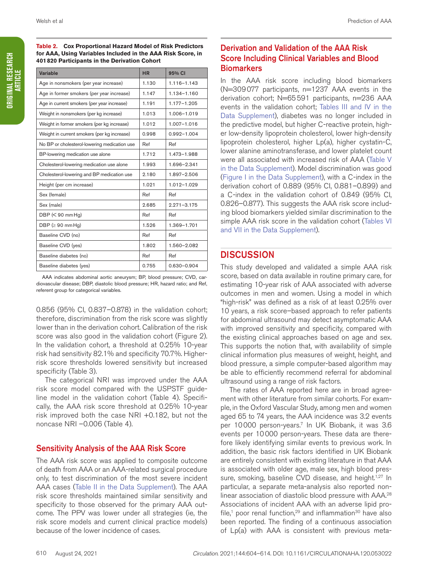**Table 2. Cox Proportional Hazard Model of Risk Predictors for AAA, Using Variables Included in the AAA Risk Score, in 401820 Participants in the Derivation Cohort**

| Variable                                     | <b>HR</b> | 95% CI          |
|----------------------------------------------|-----------|-----------------|
| Age in nonsmokers (per year increase)        | 1.130     | $1.116 - 1.143$ |
| Age in former smokers (per year increase)    | 1.147     | 1.134-1.160     |
| Age in current smokers (per year increase)   | 1.191     | 1.177-1.205     |
| Weight in nonsmokers (per kg increase)       | 1.013     | 1.006-1.019     |
| Weight in former smokers (per kg increase)   | 1.012     | 1.007-1.016     |
| Weight in current smokers (per kg increase)  | 0.998     | $0.992 - 1.004$ |
| No BP or cholesterol-lowering medication use | Ref       | Ref             |
| BP-lowering medication use alone             | 1.712     | 1.473-1.988     |
| Cholesterol-lowering medication use alone    | 1.993     | 1.696-2.341     |
| Cholesterol-lowering and BP medication use   | 2.180     | 1.897-2.506     |
| Height (per cm increase)                     | 1.021     | 1.012-1.029     |
| Sex (female)                                 | Ref       | Ref             |
| Sex (male)                                   | 2.685     | $2.271 - 3.175$ |
| $DBP \left( \leq 90 \text{ mm Hg} \right)$   | Ref       | Ref             |
| DBP ( $\geq 90$ mm Hg)                       | 1.526     | 1.369-1.701     |
| Baseline CVD (no)                            | Ref       | Ref             |
| Baseline CVD (yes)                           | 1.802     | 1.560-2.082     |
| Baseline diabetes (no)                       | Ref       | Ref             |
| Baseline diabetes (yes)                      | 0.755     | $0.630 - 0.904$ |

AAA indicates abdominal aortic aneurysm; BP, blood pressure; CVD, cardiovascular disease; DBP, diastolic blood pressure; HR, hazard ratio; and Ref, referent group for categorical variables.

0.856 (95% CI, 0.837–0.878) in the validation cohort; therefore, discrimination from the risk score was slightly lower than in the derivation cohort. Calibration of the risk score was also good in the validation cohort (Figure 2). In the validation cohort, a threshold at 0.25% 10-year risk had sensitivity 82.1% and specificity 70.7%. Higherrisk score thresholds lowered sensitivity but increased specificity (Table 3).

The categorical NRI was improved under the AAA risk score model compared with the USPSTF guideline model in the validation cohort (Table 4). Specifically, the AAA risk score threshold at 0.25% 10-year risk improved both the case NRI +0.182, but not the noncase NRI –0.006 (Table 4).

### Sensitivity Analysis of the AAA Risk Score

The AAA risk score was applied to composite outcome of death from AAA or an AAA-related surgical procedure only, to test discrimination of the most severe incident AAA cases (Table II in the Data Supplement). The AAA risk score thresholds maintained similar sensitivity and specificity to those observed for the primary AAA outcome. The PPV was lower under all strategies (ie, the risk score models and current clinical practice models) because of the lower incidence of cases.

# Derivation and Validation of the AAA Risk Score Including Clinical Variables and Blood **Biomarkers**

In the AAA risk score including blood biomarkers (N=309077 participants, n=1237 AAA events in the derivation cohort; N=65591 participants, n=236 AAA events in the validation cohort; Tables III and IV in the Data Supplement), diabetes was no longer included in the predictive model, but higher C-reactive protein, higher low-density lipoprotein cholesterol, lower high-density lipoprotein cholesterol, higher Lp(a), higher cystatin-C, lower alanine aminotransferase, and lower platelet count were all associated with increased risk of AAA (Table V in the Data Supplement). Model discrimination was good (Figure I in the Data Supplement), with a C-index in the derivation cohort of 0.889 (95% CI, 0.881–0.899) and a C-index in the validation cohort of 0.849 (95% CI, 0.826–0.877). This suggests the AAA risk score including blood biomarkers yielded similar discrimination to the simple AAA risk score in the validation cohort (Tables VI and VII in the Data Supplement).

# **DISCUSSION**

This study developed and validated a simple AAA risk score, based on data available in routine primary care, for estimating 10-year risk of AAA associated with adverse outcomes in men and women. Using a model in which "high-risk" was defined as a risk of at least 0.25% over 10 years, a risk score–based approach to refer patients for abdominal ultrasound may detect asymptomatic AAA with improved sensitivity and specificity, compared with the existing clinical approaches based on age and sex. This supports the notion that, with availability of simple clinical information plus measures of weight, height, and blood pressure, a simple computer-based algorithm may be able to efficiently recommend referral for abdominal ultrasound using a range of risk factors.

The rates of AAA reported here are in broad agreement with other literature from similar cohorts. For example, in the Oxford Vascular Study, among men and women aged 65 to 74 years, the AAA incidence was 3.2 events per 10000 person-years.<sup>7</sup> In UK Biobank, it was 3.6 events per 10000 person-years. These data are therefore likely identifying similar events to previous work. In addition, the basic risk factors identified in UK Biobank are entirely consistent with existing literature in that AAA is associated with older age, male sex, high blood pressure, smoking, baseline CVD disease, and height.<sup>1,27</sup> In particular, a separate meta-analysis also reported nonlinear association of diastolic blood pressure with AAA.28 Associations of incident AAA with an adverse lipid profile,<sup>1</sup> poor renal function,<sup>29</sup> and inflammation<sup>30</sup> have also been reported. The finding of a continuous association of Lp(a) with AAA is consistent with previous meta-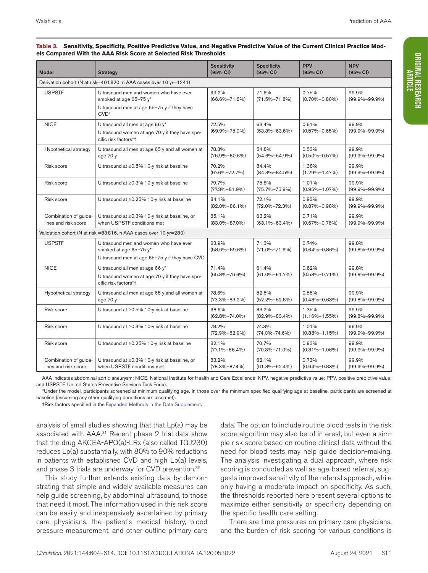| <b>Model</b>                                                         | <b>Strategy</b>                                                                                                           | <b>Sensitivity</b><br>(95% CI) | <b>Specificity</b><br>(95% CI) | <b>PPV</b><br>(95% CI)       | <b>NPV</b><br>(95% CI)       |
|----------------------------------------------------------------------|---------------------------------------------------------------------------------------------------------------------------|--------------------------------|--------------------------------|------------------------------|------------------------------|
|                                                                      | Derivation cohort (N at risk=401 820, n AAA cases over 10 yr=1241)                                                        |                                |                                |                              |                              |
| <b>USPSTF</b>                                                        | Ultrasound men and women who have ever<br>smoked at age 65-75 y*<br>Ultrasound men at age 65-75 y if they have<br>$CVD^*$ | 69.2%<br>$(66.6\% - 71.8\%)$   | 71.6%<br>$(71.5\% - 71.8\%)$   | 0.75%<br>$(0.70\% - 0.80\%)$ | 99.9%<br>$(99.9\% - 99.9\%)$ |
| <b>NICE</b>                                                          | Ultrasound all men at age 66 y*<br>Ultrasound women at age 70 y if they have spe-<br>cific risk factors*t                 | 72.5%<br>$(69.9\% - 75.0\%)$   | 63.4%<br>$(63.3\% - 63.6\%)$   | 0.61%<br>$(0.57\% - 0.65\%)$ | 99.9%<br>$(99.9\% - 99.9\%)$ |
| Hypothetical strategy                                                | Ultrasound all men at age 65 y and all women at<br>age 70 y                                                               | 78.3%<br>$(75.9\% - 80.6\%)$   | 54.8%<br>$(54.6\% - 54.9\%)$   | 0.53%<br>$(0.50\% - 0.57\%)$ | 99.9%<br>$(99.9\% - 99.9\%)$ |
| Risk score                                                           | Ultrasound at ≥0.5% 10-y risk at baseline                                                                                 | 70.2%<br>$(67.6\% - 72.7\%)$   | 84.4%<br>$(84.3\% - 84.5\%)$   | 1.38%<br>$(1.29\% - 1.47\%)$ | 99.9%<br>$(99.9\% - 99.9\%)$ |
| Risk score                                                           | Ultrasound at ≥0.3% 10-y risk at baseline                                                                                 | 79.7%<br>$(77.3\% - 81.9\%)$   | 75.8%<br>$(75.7\% - 75.9\%)$   | 1.01%<br>$(0.95\% - 1.07\%)$ | 99.9%<br>$(99.9\% - 99.9\%)$ |
| Risk score                                                           | Ultrasound at ≥0.25% 10-y risk at baseline                                                                                | 84.1%<br>$(82.0\% - 86.1\%)$   | 72.1%<br>$(72.0\% - 72.3\%)$   | 0.93%<br>$(0.87\% - 0.98\%)$ | 99.9%<br>$(99.9\% - 99.9\%)$ |
| Combination of guide-<br>lines and risk score                        | Ultrasound at $\geq$ 0.3% 10-y risk at baseline, or<br>when USPSTF conditions met                                         | 85.1%<br>$(83.0\% - 87.0\%)$   | 63.2%<br>$(63.1\% - 63.4\%)$   | 0.71%<br>$(0.67\% - 0.76\%)$ | 99.9%<br>$(99.9\% - 99.9\%)$ |
| Validation cohort (N at risk = 83 816, n AAA cases over 10 yr = 280) |                                                                                                                           |                                |                                |                              |                              |
| <b>USPSTF</b>                                                        | Ultrasound men and women who have ever<br>smoked at age 65-75 y*<br>Ultrasound men at age 65-75 y if they have CVD        | 63.9%<br>$(58.0\% - 69.6\%)$   | 71.3%<br>$(71.0\% - 71.6\%)$   | 0.74%<br>$(0.64\% - 0.86\%)$ | 99.8%<br>$(99.8\% - 99.9\%)$ |
| <b>NICE</b>                                                          | Ultrasound all men at age 66 y*<br>Ultrasound women at age 70 y if they have spe-<br>cific risk factors*t                 | 71.4%<br>$(65.8\% - 76.6\%)$   | 61.4%<br>$(61.0\% - 61.7\%)$   | 0.62%<br>$(0.53\% - 0.71\%)$ | 99.8%<br>$(99.8\% - 99.9\%)$ |
| Hypothetical strategy                                                | Ultrasound all men at age 65 y and all women at<br>age 70 y                                                               | 78.6%<br>$(73.3\% - 83.2\%)$   | 52.5%<br>$(52.2\% - 52.8\%)$   | 0.55%<br>$(0.48\% - 0.63\%)$ | 99.9%<br>$(99.8\% - 99.9\%)$ |
| Risk score                                                           | Ultrasound at ≥0.5% 10-y risk at baseline                                                                                 | 68.6%<br>$(62.8\% - 74.0\%)$   | 83.2%<br>$(82.9\% - 83.4\%)$   | 1.35%<br>$(1.16\% - 1.55\%)$ | 99.9%<br>$(99.8\% - 99.9\%)$ |
| Risk score                                                           | Ultrasound at ≥0.3% 10-y risk at baseline                                                                                 | 78.2%<br>$(72.9\% - 82.9\%)$   | 74.3%<br>$(74.0\% - 74.6\%)$   | 1.01%<br>$(0.88\% - 1.15\%)$ | 99.9%<br>$(99.9\% - 99.9\%)$ |
| Risk score                                                           | Ultrasound at ≥0.25% 10-y risk at baseline                                                                                | 82.1%<br>$(77.1\% - 86.4\%)$   | 70.7%<br>$(70.3\% - 71.0\%)$   | 0.93%<br>$(0.81\% - 1.06\%)$ | 99.9%<br>$(99.9\% - 99.9\%)$ |
| Combination of guide-<br>lines and risk score                        | Ultrasound at ≥0.3% 10-y risk at baseline, or<br>when USPSTF conditions met                                               | 83.2%<br>$(78.3\% - 87.4\%)$   | 62.1%<br>$(61.8\% - 62.4\%)$   | 0.73%<br>$(0.64\% - 0.83\%)$ | 99.9%<br>$(99.9\% - 99.9\%)$ |

#### **Table 3. Sensitivity, Specificity, Positive Predictive Value, and Negative Predictive Value of the Current Clinical Practice Models Compared With the AAA Risk Score at Selected Risk Thresholds**

AAA indicates abdominal aortic aneurysm; NICE, National Institute for Health and Care Excellence; NPV, negative predictive value; PPV, positive predictive value; and USPSTF, United States Preventive Services Task Force.

\*Under the model, participants screened at minimum qualifying age. In those over the minimum specified qualifying age at baseline, participants are screened at baseline (assuming any other qualifying conditions are also met).

†Risk factors specified in the Expanded Methods in the Data Supplement.

analysis of small studies showing that that Lp(a) may be associated with AAA.<sup>31</sup> Recent phase 2 trial data show that the drug AKCEA-APO(a)-LRx (also called TQJ230) reduces Lp(a) substantially, with 80% to 90% reductions in patients with established CVD and high Lp(a) levels, and phase 3 trials are underway for CVD prevention.<sup>32</sup>

This study further extends existing data by demonstrating that simple and widely available measures can help guide screening, by abdominal ultrasound, to those that need it most. The information used in this risk score can be easily and inexpensively ascertained by primary care physicians, the patient's medical history, blood pressure measurement, and other outline primary care data. The option to include routine blood tests in the risk score algorithm may also be of interest, but even a simple risk score based on routine clinical data without the need for blood tests may help guide decision-making. The analysis investigating a dual approach, where risk scoring is conducted as well as age-based referral, suggests improved sensitivity of the referral approach, while only having a moderate impact on specificity. As such, the thresholds reported here present several options to maximize either sensitivity or specificity depending on the specific health care setting.

There are time pressures on primary care physicians, and the burden of risk scoring for various conditions is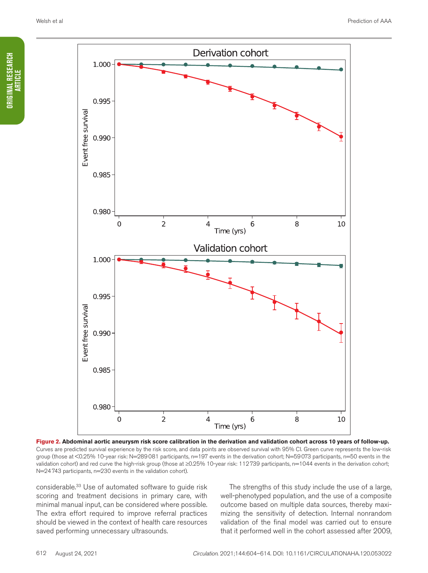

**Figure 2. Abdominal aortic aneurysm risk score calibration in the derivation and validation cohort across 10 years of follow-up.** Curves are predicted survival experience by the risk score, and data points are observed survival with 95% CI. Green curve represents the low-risk group (those at <0.25% 10-year risk: N=289081 participants, n=197 events in the derivation cohort; N=59073 participants, n=50 events in the validation cohort) and red curve the high-risk group (those at ≥0.25% 10-year risk: 112739 participants, n=1044 events in the derivation cohort; N=24743 participants, n=230 events in the validation cohort).

considerable.<sup>33</sup> Use of automated software to guide risk scoring and treatment decisions in primary care, with minimal manual input, can be considered where possible. The extra effort required to improve referral practices should be viewed in the context of health care resources saved performing unnecessary ultrasounds.

The strengths of this study include the use of a large, well-phenotyped population, and the use of a composite outcome based on multiple data sources, thereby maximizing the sensitivity of detection. Internal nonrandom validation of the final model was carried out to ensure that it performed well in the cohort assessed after 2009,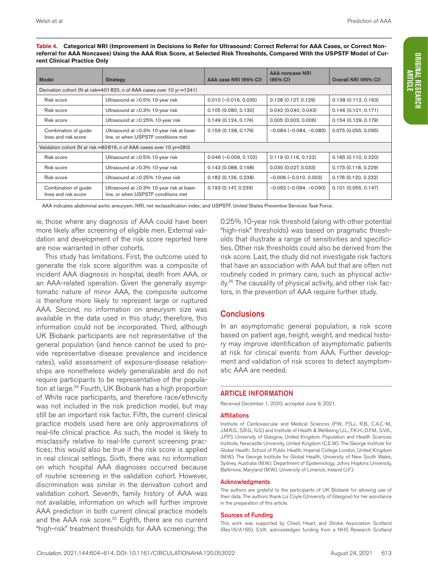**Table 4. Categorical NRI (Improvement in Decisions to Refer for Ultrasound: Correct Referral for AAA Cases, or Correct Nonreferral for AAA Noncases) Using the AAA Risk Score, at Selected Risk Thresholds, Compared With the USPSTF Model of Current Clinical Practice Only**

| <b>Model</b>                                                          | <b>Strategy</b>                                                                  | AAA case NRI (95% CI)   | <b>AAA noncase NRI</b><br>(95% CI) | Overall NRI (95% CI)   |  |
|-----------------------------------------------------------------------|----------------------------------------------------------------------------------|-------------------------|------------------------------------|------------------------|--|
| Derivation cohort (N at risk=401820, n of AAA cases over 10 yr =1241) |                                                                                  |                         |                                    |                        |  |
| Risk score                                                            | Ultrasound at $\geq$ 0.5% 10-year risk                                           | $0.010 (-0.016, 0.035)$ | 0.128(0.127, 0.129)                | 0.138(0.112, 0.163)    |  |
| Risk score                                                            | Ultrasound at $\geq$ 0.3% 10-year risk                                           | 0.105(0.080, 0.130)     | $0.042$ (0.040, 0.043)             | 0.146(0.121, 0.171)    |  |
| Risk score                                                            | Ultrasound at ≥0.25% 10-year risk                                                | 0.149(0.124, 0.174)     | 0.005(0.003, 0.006)                | 0.154(0.129, 0.179)    |  |
| Combination of quide-<br>lines and risk score                         | Ultrasound at ≥0.3% 10-year risk at base-<br>line, or when USPSTF conditions met | 0.159(0.138, 0.179)     | $-0.084 (-0.084, -0.083)$          | 0.075(0.055, 0.095)    |  |
| Validation cohort (N at risk =83816, n of AAA cases over 10 yr = 280) |                                                                                  |                         |                                    |                        |  |
| Risk score                                                            | Ultrasound at $\geq$ 0.5% 10-year risk                                           | $0.046(-0.009, 0.102)$  | 0.119(0.116, 0.122)                | 0.165(0.110, 0.220)    |  |
| Risk score                                                            | Ultrasound at $\geq$ 0.3% 10-year risk                                           | 0.143(0.088, 0.198)     | 0.030(0.027, 0.033)                | 0.173(0.118, 0.229)    |  |
| Risk score                                                            | Ultrasound at ≥0.25% 10-year risk                                                | 0.182(0.126, 0.238)     | $-0.006$ ( $-0.010$ , 0.003)       | 0.176(0.120, 0.232)    |  |
| Combination of guide-<br>lines and risk score                         | Ultrasound at ≥0.3% 10-year risk at base-<br>line, or when USPSTF conditions met | 0.193(0.147, 0.239)     | $-0.092$ ( $-0.094$ , $-0.090$ )   | $0.101$ (0.055, 0.147) |  |

AAA indicates abdominal aortic aneurysm; NRI, net reclassification index; and USPSTF, United States Preventive Services Task Force.

ie, those where any diagnosis of AAA could have been more likely after screening of eligible men. External validation and development of the risk score reported here are now warranted in other cohorts.

This study has limitations. First, the outcome used to generate the risk score algorithm was a composite of incident AAA diagnosis in hospital, death from AAA, or an AAA-related operation. Given the generally asymptomatic nature of minor AAA, the composite outcome is therefore more likely to represent large or ruptured AAA. Second, no information on aneurysm size was available in the data used in this study; therefore, this information could not be incorporated. Third, although UK Biobank participants are not representative of the general population (and hence cannot be used to provide representative disease prevalence and incidence rates), valid assessment of exposure-disease relationships are nonetheless widely generalizable and do not require participants to be representative of the population at large.<sup>34</sup> Fourth, UK Biobank has a high proportion of White race participants, and therefore race/ethnicity was not included in the risk prediction model, but may still be an important risk factor. Fifth, the current clinical practice models used here are only approximations of real-life clinical practice. As such, the model is likely to misclassify relative to real-life current screening practices; this would also be true if the risk score is applied in real clinical settings. Sixth, there was no information on which hospital AAA diagnoses occurred because of routine screening in the validation cohort. However, discrimination was similar in the derivation cohort and validation cohort. Seventh, family history of AAA was not available, information on which will further improve AAA prediction in both current clinical practice models and the AAA risk score.<sup>35</sup> Eighth, there are no current "high-risk" treatment thresholds for AAA screening; the

0.25% 10-year risk threshold (along with other potential "high-risk" thresholds) was based on pragmatic thresholds that illustrate a range of sensitivities and specificities. Other risk thresholds could also be derived from the risk score. Last, the study did not investigate risk factors that have an association with AAA but that are often not routinely coded in primary care, such as physical activity.36 The causality of physical activity, and other risk factors, in the prevention of AAA require further study.

### **Conclusions**

In an asymptomatic general population, a risk score based on patient age, height, weight, and medical history may improve identification of asymptomatic patients at risk for clinical events from AAA. Further development and validation of risk scores to detect asymptomatic AAA are needed.

### ARTICLE INFORMATION

Received December 1, 2020; accepted June 9, 2021.

#### **Affiliations**

Institute of Cardiovascular and Medical Sciences (P.W., P.S.J., R.B., C.A.C.-M., J.M.R.G., S.R.G., N.S.) and Institute of Health & Wellbeing (J.L., F.K.H., D.F.M., S.V.K., J.P.P.), University of Glasgow, United Kingdom. Population and Health Sciences Institute, Newcastle University, United Kingdom (C.E.W.). The George Institute for Global Health, School of Public Health, Imperial College London, United Kingdom (M.W.). The George Institute for Global Health, University of New South Wales, Sydney, Australia (M.W.). Department of Epidemiology, Johns Hopkins University, Baltimore, Maryland (M.W.). University of Limerick, Ireland (J.F.).

#### Acknowledgments

The authors are grateful to the participants of UK Biobank for allowing use of their data. The authors thank Liz Coyle (University of Glasgow) for her assistance in the preparation of this article.

#### Sources of Funding

This work was supported by Chest, Heart, and Stroke Association Scotland (Res16/A165). S.V.K. acknowledges funding from a NHS Research Scotland